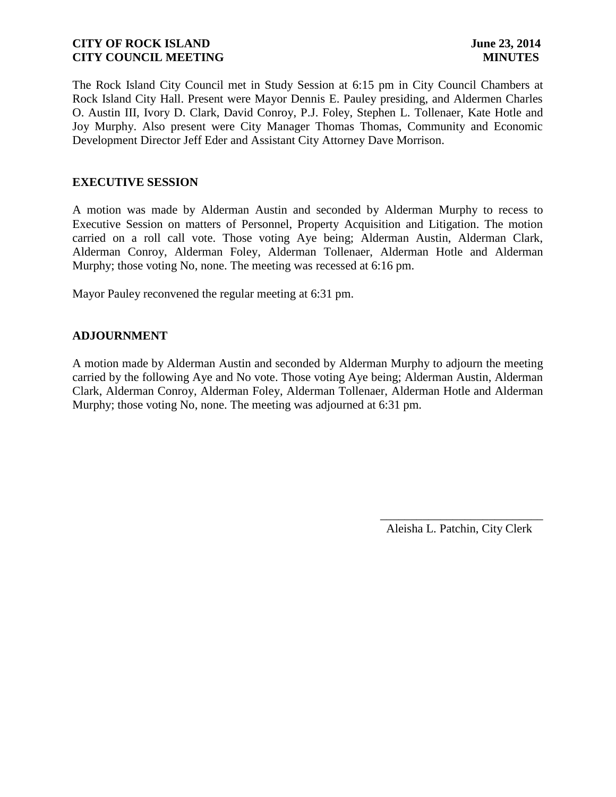The Rock Island City Council met in Study Session at 6:15 pm in City Council Chambers at Rock Island City Hall. Present were Mayor Dennis E. Pauley presiding, and Aldermen Charles O. Austin III, Ivory D. Clark, David Conroy, P.J. Foley, Stephen L. Tollenaer, Kate Hotle and Joy Murphy. Also present were City Manager Thomas Thomas, Community and Economic Development Director Jeff Eder and Assistant City Attorney Dave Morrison.

### **EXECUTIVE SESSION**

A motion was made by Alderman Austin and seconded by Alderman Murphy to recess to Executive Session on matters of Personnel, Property Acquisition and Litigation. The motion carried on a roll call vote. Those voting Aye being; Alderman Austin, Alderman Clark, Alderman Conroy, Alderman Foley, Alderman Tollenaer, Alderman Hotle and Alderman Murphy; those voting No, none. The meeting was recessed at 6:16 pm.

Mayor Pauley reconvened the regular meeting at 6:31 pm.

## **ADJOURNMENT**

A motion made by Alderman Austin and seconded by Alderman Murphy to adjourn the meeting carried by the following Aye and No vote. Those voting Aye being; Alderman Austin, Alderman Clark, Alderman Conroy, Alderman Foley, Alderman Tollenaer, Alderman Hotle and Alderman Murphy; those voting No, none. The meeting was adjourned at 6:31 pm.

Aleisha L. Patchin, City Clerk

 $\frac{1}{2}$  , and the set of the set of the set of the set of the set of the set of the set of the set of the set of the set of the set of the set of the set of the set of the set of the set of the set of the set of the set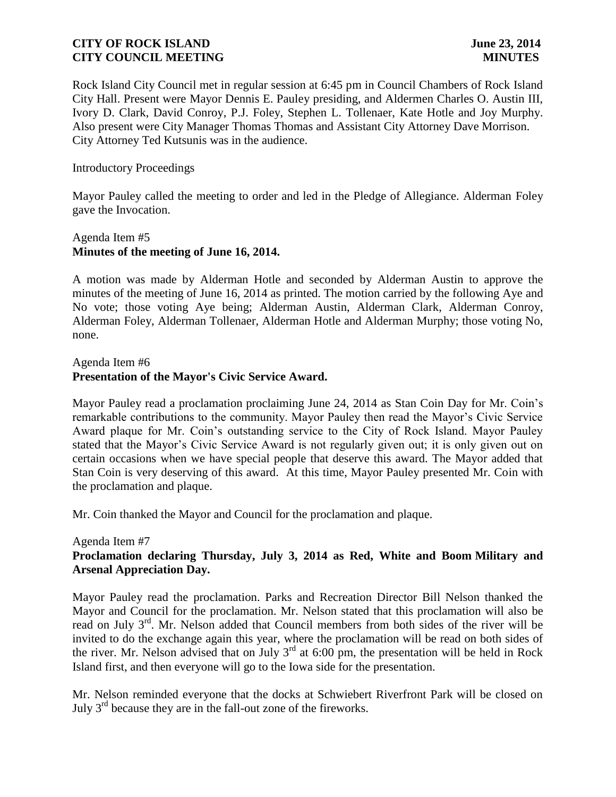Rock Island City Council met in regular session at 6:45 pm in Council Chambers of Rock Island City Hall. Present were Mayor Dennis E. Pauley presiding, and Aldermen Charles O. Austin III, Ivory D. Clark, David Conroy, P.J. Foley, Stephen L. Tollenaer, Kate Hotle and Joy Murphy. Also present were City Manager Thomas Thomas and Assistant City Attorney Dave Morrison. City Attorney Ted Kutsunis was in the audience.

### Introductory Proceedings

Mayor Pauley called the meeting to order and led in the Pledge of Allegiance. Alderman Foley gave the Invocation.

## Agenda Item #5 **Minutes of the meeting of June 16, 2014.**

A motion was made by Alderman Hotle and seconded by Alderman Austin to approve the minutes of the meeting of June 16, 2014 as printed. The motion carried by the following Aye and No vote; those voting Aye being; Alderman Austin, Alderman Clark, Alderman Conroy, Alderman Foley, Alderman Tollenaer, Alderman Hotle and Alderman Murphy; those voting No, none.

### Agenda Item #6 **Presentation of the Mayor's Civic Service Award.**

Mayor Pauley read a proclamation proclaiming June 24, 2014 as Stan Coin Day for Mr. Coin's remarkable contributions to the community. Mayor Pauley then read the Mayor's Civic Service Award plaque for Mr. Coin's outstanding service to the City of Rock Island. Mayor Pauley stated that the Mayor's Civic Service Award is not regularly given out; it is only given out on certain occasions when we have special people that deserve this award. The Mayor added that Stan Coin is very deserving of this award. At this time, Mayor Pauley presented Mr. Coin with the proclamation and plaque.

Mr. Coin thanked the Mayor and Council for the proclamation and plaque.

### Agenda Item #7

# **Proclamation declaring Thursday, July 3, 2014 as Red, White and Boom Military and Arsenal Appreciation Day.**

Mayor Pauley read the proclamation. Parks and Recreation Director Bill Nelson thanked the Mayor and Council for the proclamation. Mr. Nelson stated that this proclamation will also be read on July 3<sup>rd</sup>. Mr. Nelson added that Council members from both sides of the river will be invited to do the exchange again this year, where the proclamation will be read on both sides of the river. Mr. Nelson advised that on July  $3<sup>rd</sup>$  at 6:00 pm, the presentation will be held in Rock Island first, and then everyone will go to the Iowa side for the presentation.

Mr. Nelson reminded everyone that the docks at Schwiebert Riverfront Park will be closed on July 3rd because they are in the fall-out zone of the fireworks.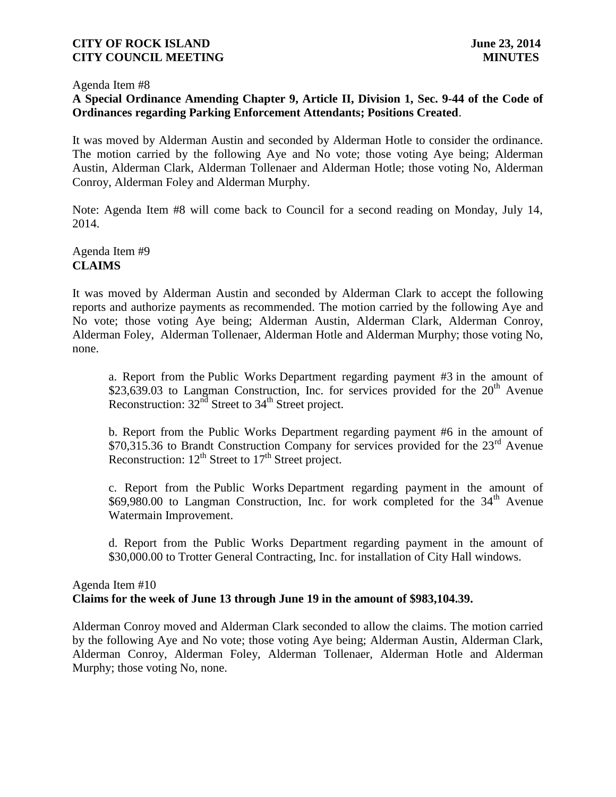#### Agenda Item #8

# **A Special Ordinance Amending Chapter 9, Article II, Division 1, Sec. 9-44 of the Code of Ordinances regarding Parking Enforcement Attendants; Positions Created**.

It was moved by Alderman Austin and seconded by Alderman Hotle to consider the ordinance. The motion carried by the following Aye and No vote; those voting Aye being; Alderman Austin, Alderman Clark, Alderman Tollenaer and Alderman Hotle; those voting No, Alderman Conroy, Alderman Foley and Alderman Murphy.

Note: Agenda Item #8 will come back to Council for a second reading on Monday, July 14, 2014.

# Agenda Item #9 **CLAIMS**

It was moved by Alderman Austin and seconded by Alderman Clark to accept the following reports and authorize payments as recommended. The motion carried by the following Aye and No vote; those voting Aye being; Alderman Austin, Alderman Clark, Alderman Conroy, Alderman Foley, Alderman Tollenaer, Alderman Hotle and Alderman Murphy; those voting No, none.

a. Report from the Public Works Department regarding payment #3 in the amount of \$23,639.03 to Langman Construction, Inc. for services provided for the  $20<sup>th</sup>$  Avenue Reconstruction:  $32<sup>nd</sup>$  Street to  $34<sup>th</sup>$  Street project.

b. Report from the Public Works Department regarding payment #6 in the amount of \$70,315.36 to Brandt Construction Company for services provided for the  $23<sup>rd</sup>$  Avenue Reconstruction:  $12^{th}$  Street to  $17^{th}$  Street project.

c. Report from the Public Works Department regarding payment in the amount of \$69,980.00 to Langman Construction, Inc. for work completed for the 34<sup>th</sup> Avenue Watermain Improvement.

d. Report from the Public Works Department regarding payment in the amount of \$30,000.00 to Trotter General Contracting, Inc. for installation of City Hall windows.

# Agenda Item #10 **Claims for the week of June 13 through June 19 in the amount of \$983,104.39.**

Alderman Conroy moved and Alderman Clark seconded to allow the claims. The motion carried by the following Aye and No vote; those voting Aye being; Alderman Austin, Alderman Clark, Alderman Conroy, Alderman Foley, Alderman Tollenaer, Alderman Hotle and Alderman Murphy; those voting No, none.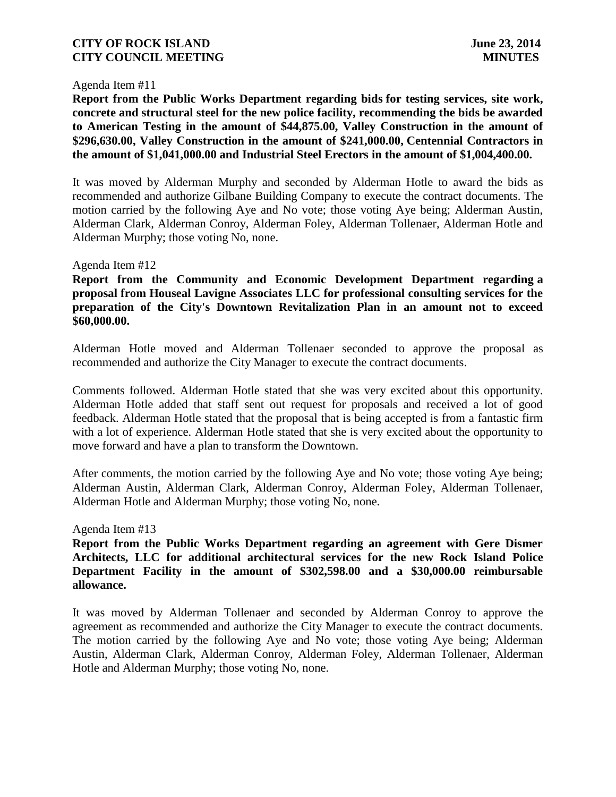### Agenda Item #11

**Report from the Public Works Department regarding bids for testing services, site work, concrete and structural steel for the new police facility, recommending the bids be awarded to American Testing in the amount of \$44,875.00, Valley Construction in the amount of \$296,630.00, Valley Construction in the amount of \$241,000.00, Centennial Contractors in the amount of \$1,041,000.00 and Industrial Steel Erectors in the amount of \$1,004,400.00.**

It was moved by Alderman Murphy and seconded by Alderman Hotle to award the bids as recommended and authorize Gilbane Building Company to execute the contract documents. The motion carried by the following Aye and No vote; those voting Aye being; Alderman Austin, Alderman Clark, Alderman Conroy, Alderman Foley, Alderman Tollenaer, Alderman Hotle and Alderman Murphy; those voting No, none.

#### Agenda Item #12

**Report from the Community and Economic Development Department regarding a proposal from Houseal Lavigne Associates LLC for professional consulting services for the preparation of the City's Downtown Revitalization Plan in an amount not to exceed \$60,000.00.**

Alderman Hotle moved and Alderman Tollenaer seconded to approve the proposal as recommended and authorize the City Manager to execute the contract documents.

Comments followed. Alderman Hotle stated that she was very excited about this opportunity. Alderman Hotle added that staff sent out request for proposals and received a lot of good feedback. Alderman Hotle stated that the proposal that is being accepted is from a fantastic firm with a lot of experience. Alderman Hotle stated that she is very excited about the opportunity to move forward and have a plan to transform the Downtown.

After comments, the motion carried by the following Aye and No vote; those voting Aye being; Alderman Austin, Alderman Clark, Alderman Conroy, Alderman Foley, Alderman Tollenaer, Alderman Hotle and Alderman Murphy; those voting No, none.

#### Agenda Item #13

**Report from the Public Works Department regarding an agreement with Gere Dismer Architects, LLC for additional architectural services for the new Rock Island Police Department Facility in the amount of \$302,598.00 and a \$30,000.00 reimbursable allowance.**

It was moved by Alderman Tollenaer and seconded by Alderman Conroy to approve the agreement as recommended and authorize the City Manager to execute the contract documents. The motion carried by the following Aye and No vote; those voting Aye being; Alderman Austin, Alderman Clark, Alderman Conroy, Alderman Foley, Alderman Tollenaer, Alderman Hotle and Alderman Murphy; those voting No, none.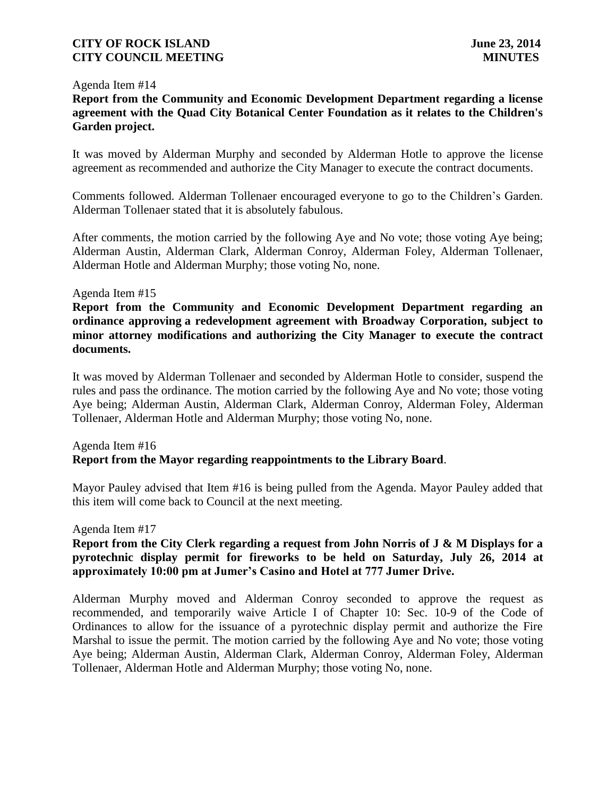### Agenda Item #14

# **Report from the Community and Economic Development Department regarding a license agreement with the Quad City Botanical Center Foundation as it relates to the Children's Garden project.**

It was moved by Alderman Murphy and seconded by Alderman Hotle to approve the license agreement as recommended and authorize the City Manager to execute the contract documents.

Comments followed. Alderman Tollenaer encouraged everyone to go to the Children's Garden. Alderman Tollenaer stated that it is absolutely fabulous.

After comments, the motion carried by the following Aye and No vote; those voting Aye being; Alderman Austin, Alderman Clark, Alderman Conroy, Alderman Foley, Alderman Tollenaer, Alderman Hotle and Alderman Murphy; those voting No, none.

### Agenda Item #15

**Report from the Community and Economic Development Department regarding an ordinance approving a redevelopment agreement with Broadway Corporation, subject to minor attorney modifications and authorizing the City Manager to execute the contract documents.**

It was moved by Alderman Tollenaer and seconded by Alderman Hotle to consider, suspend the rules and pass the ordinance. The motion carried by the following Aye and No vote; those voting Aye being; Alderman Austin, Alderman Clark, Alderman Conroy, Alderman Foley, Alderman Tollenaer, Alderman Hotle and Alderman Murphy; those voting No, none.

## Agenda Item #16 **Report from the Mayor regarding reappointments to the Library Board**.

Mayor Pauley advised that Item #16 is being pulled from the Agenda. Mayor Pauley added that this item will come back to Council at the next meeting.

#### Agenda Item #17

## **Report from the City Clerk regarding a request from John Norris of J & M Displays for a pyrotechnic display permit for fireworks to be held on Saturday, July 26, 2014 at approximately 10:00 pm at Jumer's Casino and Hotel at 777 Jumer Drive.**

Alderman Murphy moved and Alderman Conroy seconded to approve the request as recommended, and temporarily waive Article I of Chapter 10: Sec. 10-9 of the Code of Ordinances to allow for the issuance of a pyrotechnic display permit and authorize the Fire Marshal to issue the permit. The motion carried by the following Aye and No vote; those voting Aye being; Alderman Austin, Alderman Clark, Alderman Conroy, Alderman Foley, Alderman Tollenaer, Alderman Hotle and Alderman Murphy; those voting No, none.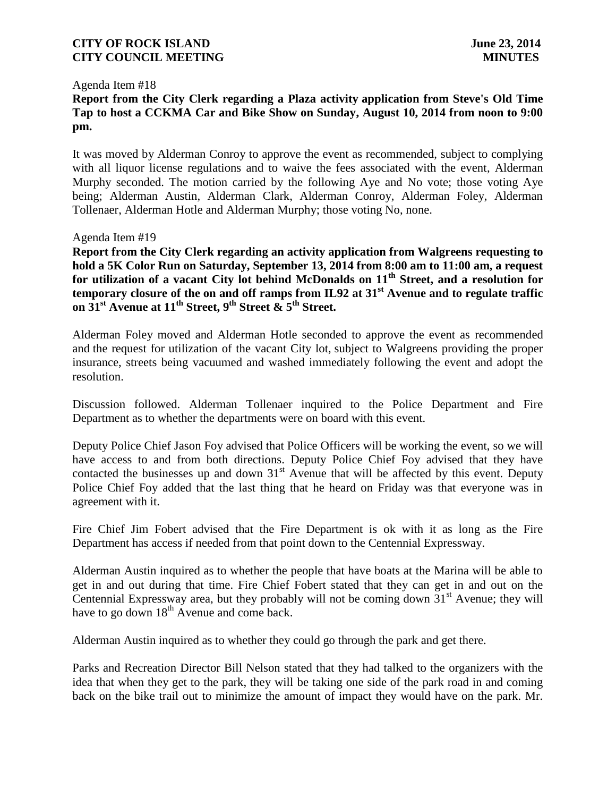#### Agenda Item #18

# **Report from the City Clerk regarding a Plaza activity application from Steve's Old Time Tap to host a CCKMA Car and Bike Show on Sunday, August 10, 2014 from noon to 9:00 pm.**

It was moved by Alderman Conroy to approve the event as recommended, subject to complying with all liquor license regulations and to waive the fees associated with the event, Alderman Murphy seconded. The motion carried by the following Aye and No vote; those voting Aye being; Alderman Austin, Alderman Clark, Alderman Conroy, Alderman Foley, Alderman Tollenaer, Alderman Hotle and Alderman Murphy; those voting No, none.

### Agenda Item #19

**Report from the City Clerk regarding an activity application from Walgreens requesting to hold a 5K Color Run on Saturday, September 13, 2014 from 8:00 am to 11:00 am, a request for utilization of a vacant City lot behind McDonalds on 11th Street, and a resolution for temporary closure of the on and off ramps from IL92 at 31st Avenue and to regulate traffic on 31st Avenue at 11th Street, 9th Street & 5th Street.**

Alderman Foley moved and Alderman Hotle seconded to approve the event as recommended and the request for utilization of the vacant City lot, subject to Walgreens providing the proper insurance, streets being vacuumed and washed immediately following the event and adopt the resolution.

Discussion followed. Alderman Tollenaer inquired to the Police Department and Fire Department as to whether the departments were on board with this event.

Deputy Police Chief Jason Foy advised that Police Officers will be working the event, so we will have access to and from both directions. Deputy Police Chief Foy advised that they have contacted the businesses up and down  $31<sup>st</sup>$  Avenue that will be affected by this event. Deputy Police Chief Foy added that the last thing that he heard on Friday was that everyone was in agreement with it.

Fire Chief Jim Fobert advised that the Fire Department is ok with it as long as the Fire Department has access if needed from that point down to the Centennial Expressway.

Alderman Austin inquired as to whether the people that have boats at the Marina will be able to get in and out during that time. Fire Chief Fobert stated that they can get in and out on the Centennial Expressway area, but they probably will not be coming down  $31<sup>st</sup>$  Avenue; they will have to go down  $18<sup>th</sup>$  Avenue and come back.

Alderman Austin inquired as to whether they could go through the park and get there.

Parks and Recreation Director Bill Nelson stated that they had talked to the organizers with the idea that when they get to the park, they will be taking one side of the park road in and coming back on the bike trail out to minimize the amount of impact they would have on the park. Mr.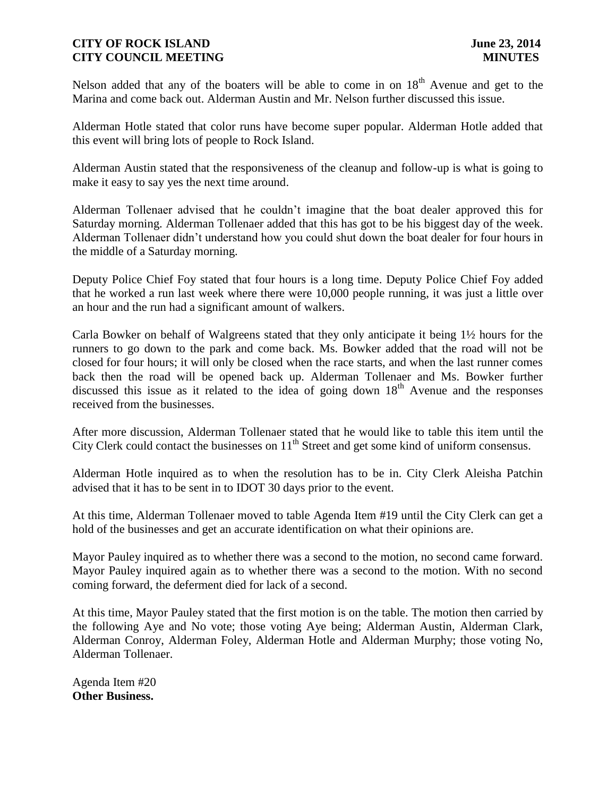Nelson added that any of the boaters will be able to come in on  $18<sup>th</sup>$  Avenue and get to the Marina and come back out. Alderman Austin and Mr. Nelson further discussed this issue.

Alderman Hotle stated that color runs have become super popular. Alderman Hotle added that this event will bring lots of people to Rock Island.

Alderman Austin stated that the responsiveness of the cleanup and follow-up is what is going to make it easy to say yes the next time around.

Alderman Tollenaer advised that he couldn't imagine that the boat dealer approved this for Saturday morning. Alderman Tollenaer added that this has got to be his biggest day of the week. Alderman Tollenaer didn't understand how you could shut down the boat dealer for four hours in the middle of a Saturday morning.

Deputy Police Chief Foy stated that four hours is a long time. Deputy Police Chief Foy added that he worked a run last week where there were 10,000 people running, it was just a little over an hour and the run had a significant amount of walkers.

Carla Bowker on behalf of Walgreens stated that they only anticipate it being 1½ hours for the runners to go down to the park and come back. Ms. Bowker added that the road will not be closed for four hours; it will only be closed when the race starts, and when the last runner comes back then the road will be opened back up. Alderman Tollenaer and Ms. Bowker further discussed this issue as it related to the idea of going down  $18<sup>th</sup>$  Avenue and the responses received from the businesses.

After more discussion, Alderman Tollenaer stated that he would like to table this item until the City Clerk could contact the businesses on  $11<sup>th</sup>$  Street and get some kind of uniform consensus.

Alderman Hotle inquired as to when the resolution has to be in. City Clerk Aleisha Patchin advised that it has to be sent in to IDOT 30 days prior to the event.

At this time, Alderman Tollenaer moved to table Agenda Item #19 until the City Clerk can get a hold of the businesses and get an accurate identification on what their opinions are.

Mayor Pauley inquired as to whether there was a second to the motion, no second came forward. Mayor Pauley inquired again as to whether there was a second to the motion. With no second coming forward, the deferment died for lack of a second.

At this time, Mayor Pauley stated that the first motion is on the table. The motion then carried by the following Aye and No vote; those voting Aye being; Alderman Austin, Alderman Clark, Alderman Conroy, Alderman Foley, Alderman Hotle and Alderman Murphy; those voting No, Alderman Tollenaer.

Agenda Item #20 **Other Business.**